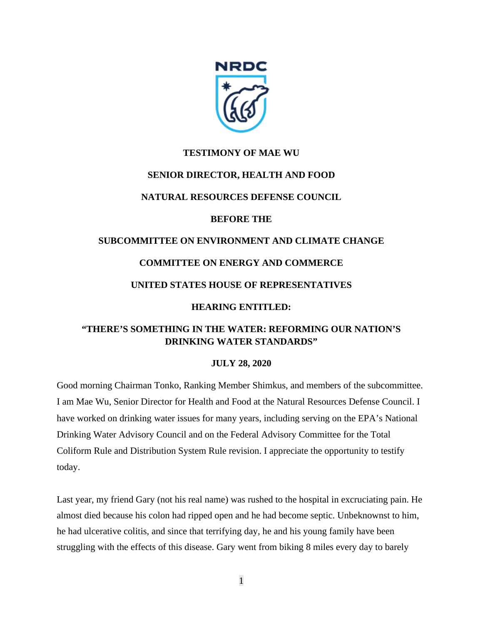

## **TESTIMONY OF MAE WU**

## **SENIOR DIRECTOR, HEALTH AND FOOD**

## **NATURAL RESOURCES DEFENSE COUNCIL**

## **BEFORE THE**

# **SUBCOMMITTEE ON ENVIRONMENT AND CLIMATE CHANGE**

## **COMMITTEE ON ENERGY AND COMMERCE**

## **UNITED STATES HOUSE OF REPRESENTATIVES**

## **HEARING ENTITLED:**

## **"THERE'S SOMETHING IN THE WATER: REFORMING OUR NATION'S DRINKING WATER STANDARDS"**

## **JULY 28, 2020**

Good morning Chairman Tonko, Ranking Member Shimkus, and members of the subcommittee. I am Mae Wu, Senior Director for Health and Food at the Natural Resources Defense Council. I have worked on drinking water issues for many years, including serving on the EPA's National Drinking Water Advisory Council and on the Federal Advisory Committee for the Total Coliform Rule and Distribution System Rule revision. I appreciate the opportunity to testify today.

Last year, my friend Gary (not his real name) was rushed to the hospital in excruciating pain. He almost died because his colon had ripped open and he had become septic. Unbeknownst to him, he had ulcerative colitis, and since that terrifying day, he and his young family have been struggling with the effects of this disease. Gary went from biking 8 miles every day to barely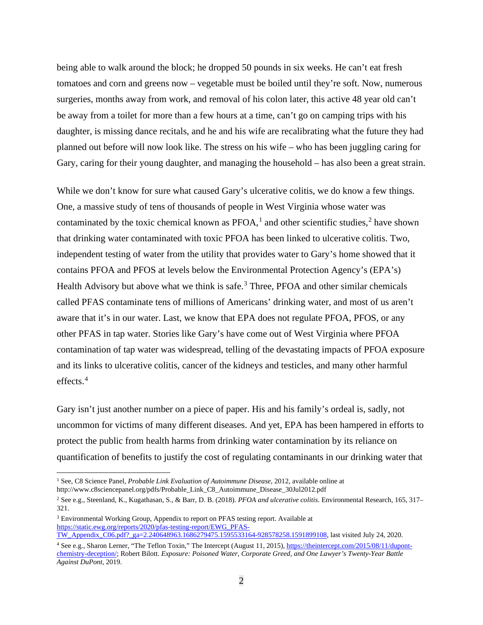being able to walk around the block; he dropped 50 pounds in six weeks. He can't eat fresh tomatoes and corn and greens now – vegetable must be boiled until they're soft. Now, numerous surgeries, months away from work, and removal of his colon later, this active 48 year old can't be away from a toilet for more than a few hours at a time, can't go on camping trips with his daughter, is missing dance recitals, and he and his wife are recalibrating what the future they had planned out before will now look like. The stress on his wife – who has been juggling caring for Gary, caring for their young daughter, and managing the household – has also been a great strain.

While we don't know for sure what caused Gary's ulcerative colitis, we do know a few things. One, a massive study of tens of thousands of people in West Virginia whose water was contaminated by the toxic chemical known as  $PFOA$ ,<sup>[1](#page-1-0)</sup> and other scientific studies,<sup>[2](#page-1-1)</sup> have shown that drinking water contaminated with toxic PFOA has been linked to ulcerative colitis. Two, independent testing of water from the utility that provides water to Gary's home showed that it contains PFOA and PFOS at levels below the Environmental Protection Agency's (EPA's) Health Advisory but above what we think is safe. $3$  Three, PFOA and other similar chemicals called PFAS contaminate tens of millions of Americans' drinking water, and most of us aren't aware that it's in our water. Last, we know that EPA does not regulate PFOA, PFOS, or any other PFAS in tap water. Stories like Gary's have come out of West Virginia where PFOA contamination of tap water was widespread, telling of the devastating impacts of PFOA exposure and its links to ulcerative colitis, cancer of the kidneys and testicles, and many other harmful effects. [4](#page-1-3)

Gary isn't just another number on a piece of paper. His and his family's ordeal is, sadly, not uncommon for victims of many different diseases. And yet, EPA has been hampered in efforts to protect the public from health harms from drinking water contamination by its reliance on quantification of benefits to justify the cost of regulating contaminants in our drinking water that

<span id="page-1-0"></span><sup>1</sup> See, C8 Science Panel, *Probable Link Evaluation of Autoimmune Disease,* 2012, available online at http://www.c8sciencepanel.org/pdfs/Probable\_Link\_C8\_Autoimmune\_Disease\_30Jul2012.pdf

<span id="page-1-1"></span><sup>2</sup> See e.g., Steenland, K., Kugathasan, S., & Barr, D. B. (2018). *PFOA and ulcerative colitis.* Environmental Research, 165, 317– 321.

<span id="page-1-2"></span><sup>3</sup> Environmental Working Group, Appendix to report on PFAS testing report. Available at [https://static.ewg.org/reports/2020/pfas-testing-report/EWG\\_PFAS-](https://static.ewg.org/reports/2020/pfas-testing-report/EWG_PFAS-TW_Appendix_C06.pdf?_ga=2.240648963.1686279475.1595533164-928578258.1591899108)[TW\\_Appendix\\_C06.pdf?\\_ga=2.240648963.1686279475.1595533164-928578258.1591899108,](https://static.ewg.org/reports/2020/pfas-testing-report/EWG_PFAS-TW_Appendix_C06.pdf?_ga=2.240648963.1686279475.1595533164-928578258.1591899108) last visited July 24, 2020.

<span id="page-1-3"></span><sup>&</sup>lt;sup>4</sup> See e.g., Sharon Lerner, "The Teflon Toxin," The Intercept (August 11, 2015)[, https://theintercept.com/2015/08/11/dupont](https://theintercept.com/2015/08/11/dupont-chemistry-deception/)[chemistry-deception/;](https://theintercept.com/2015/08/11/dupont-chemistry-deception/) Robert Bilott. *Exposure: Poisoned Water, Corporate Greed, and One Lawyer's Twenty-Year Battle Against DuPont*, 2019.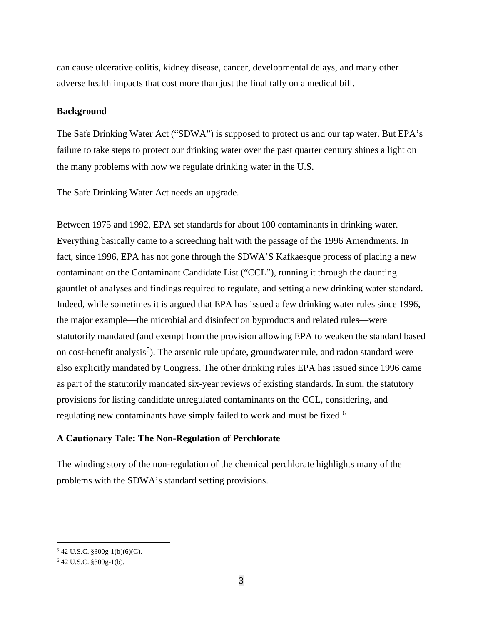can cause ulcerative colitis, kidney disease, cancer, developmental delays, and many other adverse health impacts that cost more than just the final tally on a medical bill.

#### **Background**

The Safe Drinking Water Act ("SDWA") is supposed to protect us and our tap water. But EPA's failure to take steps to protect our drinking water over the past quarter century shines a light on the many problems with how we regulate drinking water in the U.S.

The Safe Drinking Water Act needs an upgrade.

Between 1975 and 1992, EPA set standards for about 100 contaminants in drinking water. Everything basically came to a screeching halt with the passage of the 1996 Amendments. In fact, since 1996, EPA has not gone through the SDWA'S Kafkaesque process of placing a new contaminant on the Contaminant Candidate List ("CCL"), running it through the daunting gauntlet of analyses and findings required to regulate, and setting a new drinking water standard. Indeed, while sometimes it is argued that EPA has issued a few drinking water rules since 1996, the major example—the microbial and disinfection byproducts and related rules—were statutorily mandated (and exempt from the provision allowing EPA to weaken the standard based on cost-benefit analysis<sup>[5](#page-2-0)</sup>). The arsenic rule update, groundwater rule, and radon standard were also explicitly mandated by Congress. The other drinking rules EPA has issued since 1996 came as part of the statutorily mandated six-year reviews of existing standards. In sum, the statutory provisions for listing candidate unregulated contaminants on the CCL, considering, and regulating new contaminants have simply failed to work and must be fixed.<sup>[6](#page-2-1)</sup>

## **A Cautionary Tale: The Non-Regulation of Perchlorate**

The winding story of the non-regulation of the chemical perchlorate highlights many of the problems with the SDWA's standard setting provisions.

<span id="page-2-0"></span><sup>5</sup> 42 U.S.C. §300g-1(b)(6)(C).

<span id="page-2-1"></span><sup>6</sup> 42 U.S.C. §300g-1(b).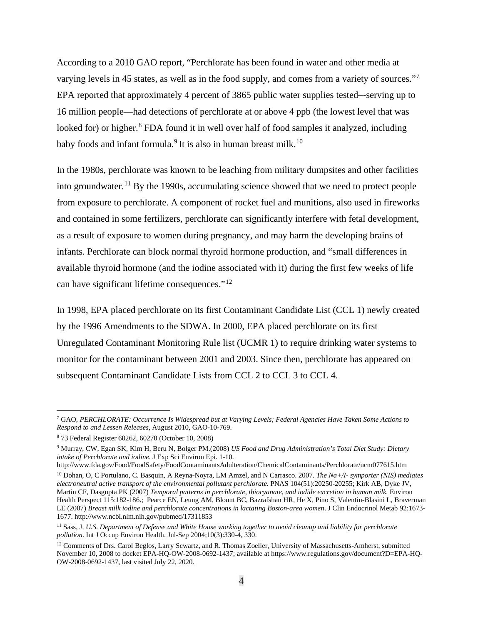According to a 2010 GAO report, "Perchlorate has been found in water and other media at varying levels in 45 states, as well as in the food supply, and comes from a variety of sources."[7](#page-3-0) EPA reported that approximately 4 percent of 3865 public water supplies tested–-serving up to 16 million people—had detections of perchlorate at or above 4 ppb (the lowest level that was looked for) or higher. $8$  FDA found it in well over half of food samples it analyzed, including baby foods and infant formula.<sup>[9](#page-3-2)</sup> It is also in human breast milk.<sup>[10](#page-3-3)</sup>

In the 1980s, perchlorate was known to be leaching from military dumpsites and other facilities into groundwater.<sup>[11](#page-3-4)</sup> By the 1990s, accumulating science showed that we need to protect people from exposure to perchlorate. A component of rocket fuel and munitions, also used in fireworks and contained in some fertilizers, perchlorate can significantly interfere with fetal development, as a result of exposure to women during pregnancy, and may harm the developing brains of infants. Perchlorate can block normal thyroid hormone production, and "small differences in available thyroid hormone (and the iodine associated with it) during the first few weeks of life can have significant lifetime consequences."[12](#page-3-5)

In 1998, EPA placed perchlorate on its first Contaminant Candidate List (CCL 1) newly created by the 1996 Amendments to the SDWA. In 2000, EPA placed perchlorate on its first Unregulated Contaminant Monitoring Rule list (UCMR 1) to require drinking water systems to monitor for the contaminant between 2001 and 2003. Since then, perchlorate has appeared on subsequent Contaminant Candidate Lists from CCL 2 to CCL 3 to CCL 4.

<span id="page-3-0"></span><sup>7</sup> GAO, *PERCHLORATE: Occurrence Is Widespread but at Varying Levels; Federal Agencies Have Taken Some Actions to Respond to and Lessen Releases*, August 2010, GAO-10-769.

<span id="page-3-1"></span><sup>8</sup> 73 Federal Register 60262, 60270 (October 10, 2008)

<span id="page-3-2"></span><sup>9</sup> Murray, CW, Egan SK, Kim H, Beru N, Bolger PM.(2008) *US Food and Drug Administration's Total Diet Study: Dietary intake of Perchlorate and iodine.* J Exp Sci Environ Epi. 1-10.

http://www.fda.gov/Food/FoodSafety/FoodContaminantsAdulteration/ChemicalContaminants/Perchlorate/ucm077615.htm

<span id="page-3-3"></span><sup>10</sup> Dohan, O, C Portulano, C. Basquin, A Reyna-Noyra, LM Amzel, and N Carrasco. 2007. *The Na+/I- symporter (NIS) mediates electroneutral active transport of the environmental pollutant perchlorate.* PNAS 104(51):20250-20255; Kirk AB, Dyke JV, Martin CF, Dasgupta PK (2007) *Temporal patterns in perchlorate, thiocyanate, and iodide excretion in human milk.* Environ Health Perspect 115:182-186.; Pearce EN, Leung AM, Blount BC, Bazrafshan HR, He X, Pino S, Valentin-Blasini L, Braverman LE (2007) *Breast milk iodine and perchlorate concentrations in lactating Boston-area women*. J Clin Endocrinol Metab 92:1673- 1677. http://www.ncbi.nlm.nih.gov/pubmed/17311853

<span id="page-3-4"></span><sup>11</sup> Sass, J. *U.S. Department of Defense and White House working together to avoid cleanup and liability for perchlorate pollution*. Int J Occup Environ Health. Jul-Sep 2004;10(3):330-4, 330.

<span id="page-3-5"></span><sup>&</sup>lt;sup>12</sup> Comments of Drs. Carol Beglos, Larry Scwartz, and R. Thomas Zoeller, University of Massachusetts-Amherst, submitted November 10, 2008 to docket EPA-HQ-OW-2008-0692-1437; available at https://www.regulations.gov/document?D=EPA-HQ-OW-2008-0692-1437, last visited July 22, 2020.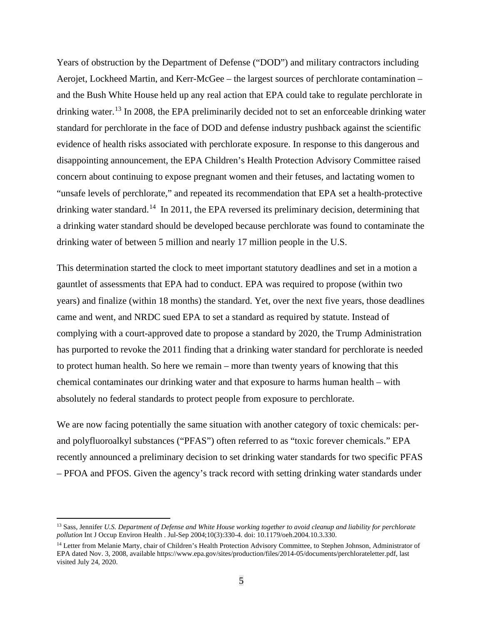Years of obstruction by the Department of Defense ("DOD") and military contractors including Aerojet, Lockheed Martin, and Kerr-McGee – the largest sources of perchlorate contamination – and the Bush White House held up any real action that EPA could take to regulate perchlorate in drinking water.<sup>[13](#page-4-0)</sup> In 2008, the EPA preliminarily decided not to set an enforceable drinking water standard for perchlorate in the face of DOD and defense industry pushback against the scientific evidence of health risks associated with perchlorate exposure. In response to this dangerous and disappointing announcement, the EPA Children's Health Protection Advisory Committee raised concern about continuing to expose pregnant women and their fetuses, and lactating women to "unsafe levels of perchlorate," and repeated its recommendation that EPA set a health-protective drinking water standard.<sup>[14](#page-4-1)</sup> In 2011, the EPA reversed its preliminary decision, determining that a drinking water standard should be developed because perchlorate was found to contaminate the drinking water of between 5 million and nearly 17 million people in the U.S.

This determination started the clock to meet important statutory deadlines and set in a motion a gauntlet of assessments that EPA had to conduct. EPA was required to propose (within two years) and finalize (within 18 months) the standard. Yet, over the next five years, those deadlines came and went, and NRDC sued EPA to set a standard as required by statute. Instead of complying with a court-approved date to propose a standard by 2020, the Trump Administration has purported to revoke the 2011 finding that a drinking water standard for perchlorate is needed to protect human health. So here we remain – more than twenty years of knowing that this chemical contaminates our drinking water and that exposure to harms human health – with absolutely no federal standards to protect people from exposure to perchlorate.

We are now facing potentially the same situation with another category of toxic chemicals: perand polyfluoroalkyl substances ("PFAS") often referred to as "toxic forever chemicals." EPA recently announced a preliminary decision to set drinking water standards for two specific PFAS – PFOA and PFOS. Given the agency's track record with setting drinking water standards under

<span id="page-4-0"></span><sup>13</sup> Sass, Jennifer *U.S. Department of Defense and White House working together to avoid cleanup and liability for perchlorate pollution* Int J Occup Environ Health . Jul-Sep 2004;10(3):330-4. doi: 10.1179/oeh.2004.10.3.330.

<span id="page-4-1"></span><sup>&</sup>lt;sup>14</sup> Letter from Melanie Marty, chair of Children's Health Protection Advisory Committee, to Stephen Johnson, Administrator of EPA dated Nov. 3, 2008, available https://www.epa.gov/sites/production/files/2014-05/documents/perchlorateletter.pdf, last visited July 24, 2020.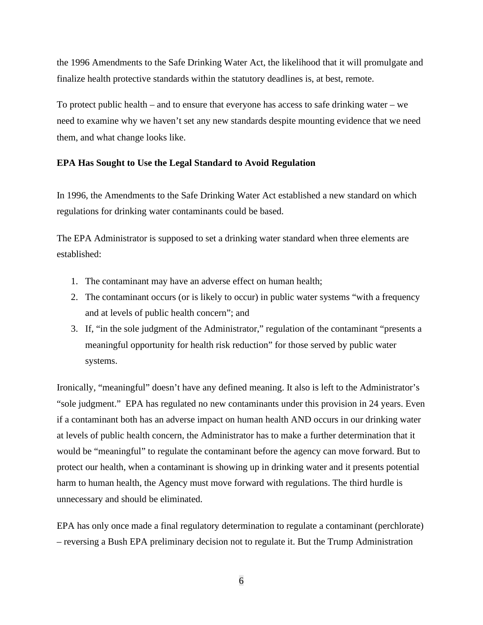the 1996 Amendments to the Safe Drinking Water Act, the likelihood that it will promulgate and finalize health protective standards within the statutory deadlines is, at best, remote.

To protect public health – and to ensure that everyone has access to safe drinking water – we need to examine why we haven't set any new standards despite mounting evidence that we need them, and what change looks like.

## **EPA Has Sought to Use the Legal Standard to Avoid Regulation**

In 1996, the Amendments to the Safe Drinking Water Act established a new standard on which regulations for drinking water contaminants could be based.

The EPA Administrator is supposed to set a drinking water standard when three elements are established:

- 1. The contaminant may have an adverse effect on human health;
- 2. The contaminant occurs (or is likely to occur) in public water systems "with a frequency and at levels of public health concern"; and
- 3. If, "in the sole judgment of the Administrator," regulation of the contaminant "presents a meaningful opportunity for health risk reduction" for those served by public water systems.

Ironically, "meaningful" doesn't have any defined meaning. It also is left to the Administrator's "sole judgment." EPA has regulated no new contaminants under this provision in 24 years. Even if a contaminant both has an adverse impact on human health AND occurs in our drinking water at levels of public health concern, the Administrator has to make a further determination that it would be "meaningful" to regulate the contaminant before the agency can move forward. But to protect our health, when a contaminant is showing up in drinking water and it presents potential harm to human health, the Agency must move forward with regulations. The third hurdle is unnecessary and should be eliminated.

EPA has only once made a final regulatory determination to regulate a contaminant (perchlorate) – reversing a Bush EPA preliminary decision not to regulate it. But the Trump Administration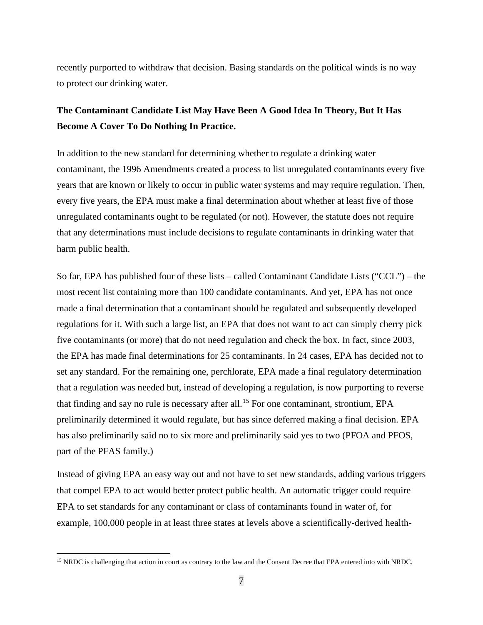recently purported to withdraw that decision. Basing standards on the political winds is no way to protect our drinking water.

## **The Contaminant Candidate List May Have Been A Good Idea In Theory, But It Has Become A Cover To Do Nothing In Practice.**

In addition to the new standard for determining whether to regulate a drinking water contaminant, the 1996 Amendments created a process to list unregulated contaminants every five years that are known or likely to occur in public water systems and may require regulation. Then, every five years, the EPA must make a final determination about whether at least five of those unregulated contaminants ought to be regulated (or not). However, the statute does not require that any determinations must include decisions to regulate contaminants in drinking water that harm public health.

So far, EPA has published four of these lists – called Contaminant Candidate Lists ("CCL") – the most recent list containing more than 100 candidate contaminants. And yet, EPA has not once made a final determination that a contaminant should be regulated and subsequently developed regulations for it. With such a large list, an EPA that does not want to act can simply cherry pick five contaminants (or more) that do not need regulation and check the box. In fact, since 2003, the EPA has made final determinations for 25 contaminants. In 24 cases, EPA has decided not to set any standard. For the remaining one, perchlorate, EPA made a final regulatory determination that a regulation was needed but, instead of developing a regulation, is now purporting to reverse that finding and say no rule is necessary after all.<sup>[15](#page-6-0)</sup> For one contaminant, strontium, EPA preliminarily determined it would regulate, but has since deferred making a final decision. EPA has also preliminarily said no to six more and preliminarily said yes to two (PFOA and PFOS, part of the PFAS family.)

Instead of giving EPA an easy way out and not have to set new standards, adding various triggers that compel EPA to act would better protect public health. An automatic trigger could require EPA to set standards for any contaminant or class of contaminants found in water of, for example, 100,000 people in at least three states at levels above a scientifically-derived health-

<span id="page-6-0"></span><sup>&</sup>lt;sup>15</sup> NRDC is challenging that action in court as contrary to the law and the Consent Decree that EPA entered into with NRDC.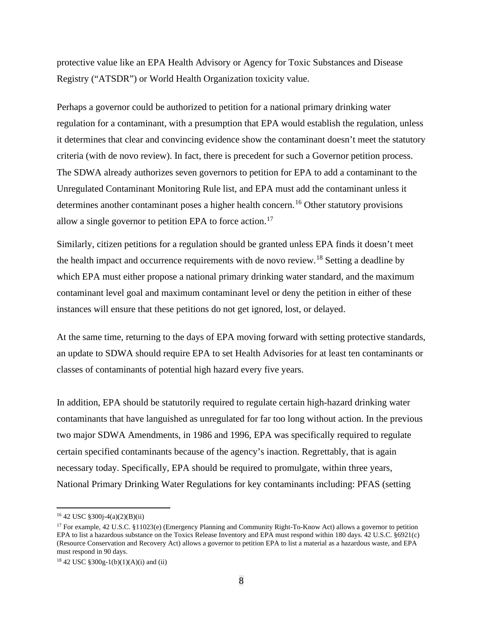protective value like an EPA Health Advisory or Agency for Toxic Substances and Disease Registry ("ATSDR") or World Health Organization toxicity value.

Perhaps a governor could be authorized to petition for a national primary drinking water regulation for a contaminant, with a presumption that EPA would establish the regulation, unless it determines that clear and convincing evidence show the contaminant doesn't meet the statutory criteria (with de novo review). In fact, there is precedent for such a Governor petition process. The SDWA already authorizes seven governors to petition for EPA to add a contaminant to the Unregulated Contaminant Monitoring Rule list, and EPA must add the contaminant unless it determines another contaminant poses a higher health concern.<sup>[16](#page-7-0)</sup> Other statutory provisions allow a single governor to petition EPA to force action.<sup>[17](#page-7-1)</sup>

Similarly, citizen petitions for a regulation should be granted unless EPA finds it doesn't meet the health impact and occurrence requirements with de novo review.[18](#page-7-2) Setting a deadline by which EPA must either propose a national primary drinking water standard, and the maximum contaminant level goal and maximum contaminant level or deny the petition in either of these instances will ensure that these petitions do not get ignored, lost, or delayed.

At the same time, returning to the days of EPA moving forward with setting protective standards, an update to SDWA should require EPA to set Health Advisories for at least ten contaminants or classes of contaminants of potential high hazard every five years.

In addition, EPA should be statutorily required to regulate certain high-hazard drinking water contaminants that have languished as unregulated for far too long without action. In the previous two major SDWA Amendments, in 1986 and 1996, EPA was specifically required to regulate certain specified contaminants because of the agency's inaction. Regrettably, that is again necessary today. Specifically, EPA should be required to promulgate, within three years, National Primary Drinking Water Regulations for key contaminants including: PFAS (setting

<span id="page-7-0"></span><sup>16</sup> 42 USC §300j-4(a)(2)(B)(ii)

<span id="page-7-1"></span><sup>17</sup> For example, 42 U.S.C. §11023(e) (Emergency Planning and Community Right-To-Know Act) allows a governor to petition EPA to list a hazardous substance on the Toxics Release Inventory and EPA must respond within 180 days. 42 U.S.C. §6921(c) (Resource Conservation and Recovery Act) allows a governor to petition EPA to list a material as a hazardous waste, and EPA must respond in 90 days.

<span id="page-7-2"></span><sup>&</sup>lt;sup>18</sup> 42 USC §300g-1(b)(1)(A)(i) and (ii)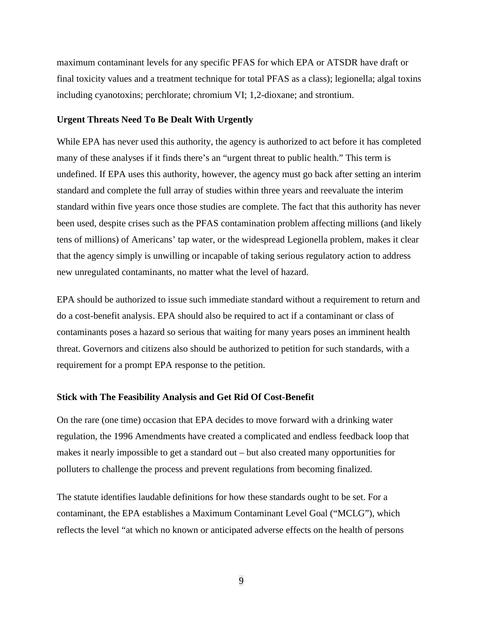maximum contaminant levels for any specific PFAS for which EPA or ATSDR have draft or final toxicity values and a treatment technique for total PFAS as a class); legionella; algal toxins including cyanotoxins; perchlorate; chromium VI; 1,2-dioxane; and strontium.

#### **Urgent Threats Need To Be Dealt With Urgently**

While EPA has never used this authority, the agency is authorized to act before it has completed many of these analyses if it finds there's an "urgent threat to public health." This term is undefined. If EPA uses this authority, however, the agency must go back after setting an interim standard and complete the full array of studies within three years and reevaluate the interim standard within five years once those studies are complete. The fact that this authority has never been used, despite crises such as the PFAS contamination problem affecting millions (and likely tens of millions) of Americans' tap water, or the widespread Legionella problem, makes it clear that the agency simply is unwilling or incapable of taking serious regulatory action to address new unregulated contaminants, no matter what the level of hazard.

EPA should be authorized to issue such immediate standard without a requirement to return and do a cost-benefit analysis. EPA should also be required to act if a contaminant or class of contaminants poses a hazard so serious that waiting for many years poses an imminent health threat. Governors and citizens also should be authorized to petition for such standards, with a requirement for a prompt EPA response to the petition.

#### **Stick with The Feasibility Analysis and Get Rid Of Cost-Benefit**

On the rare (one time) occasion that EPA decides to move forward with a drinking water regulation, the 1996 Amendments have created a complicated and endless feedback loop that makes it nearly impossible to get a standard out – but also created many opportunities for polluters to challenge the process and prevent regulations from becoming finalized.

The statute identifies laudable definitions for how these standards ought to be set. For a contaminant, the EPA establishes a Maximum Contaminant Level Goal ("MCLG"), which reflects the level "at which no known or anticipated adverse effects on the health of persons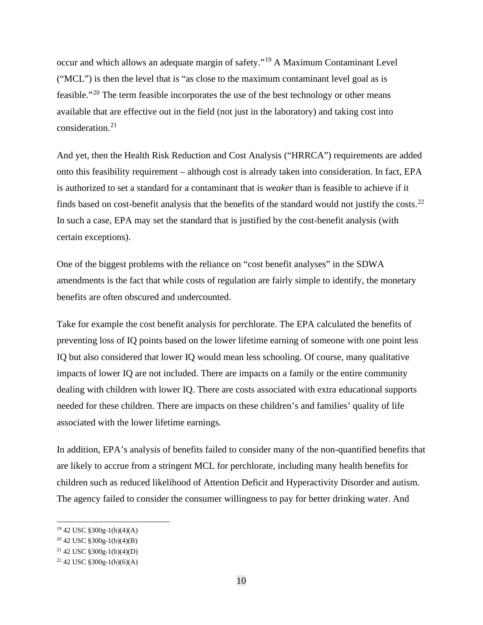occur and which allows an adequate margin of safety."[19](#page-9-0) A Maximum Contaminant Level ("MCL") is then the level that is "as close to the maximum contaminant level goal as is feasible."[20](#page-9-1) The term feasible incorporates the use of the best technology or other means available that are effective out in the field (not just in the laboratory) and taking cost into consideration.[21](#page-9-2)

And yet, then the Health Risk Reduction and Cost Analysis ("HRRCA") requirements are added onto this feasibility requirement – although cost is already taken into consideration. In fact, EPA is authorized to set a standard for a contaminant that is *weaker* than is feasible to achieve if it finds based on cost-benefit analysis that the benefits of the standard would not justify the costs.[22](#page-9-3) In such a case, EPA may set the standard that is justified by the cost-benefit analysis (with certain exceptions).

One of the biggest problems with the reliance on "cost benefit analyses" in the SDWA amendments is the fact that while costs of regulation are fairly simple to identify, the monetary benefits are often obscured and undercounted.

Take for example the cost benefit analysis for perchlorate. The EPA calculated the benefits of preventing loss of IQ points based on the lower lifetime earning of someone with one point less IQ but also considered that lower IQ would mean less schooling. Of course, many qualitative impacts of lower IQ are not included. There are impacts on a family or the entire community dealing with children with lower IQ. There are costs associated with extra educational supports needed for these children. There are impacts on these children's and families' quality of life associated with the lower lifetime earnings.

In addition, EPA's analysis of benefits failed to consider many of the non-quantified benefits that are likely to accrue from a stringent MCL for perchlorate, including many health benefits for children such as reduced likelihood of Attention Deficit and Hyperactivity Disorder and autism. The agency failed to consider the consumer willingness to pay for better drinking water. And

<span id="page-9-0"></span><sup>19</sup> 42 USC §300g-1(b)(4)(A)

<span id="page-9-1"></span><sup>20</sup> 42 USC §300g-1(b)(4)(B)

<span id="page-9-2"></span><sup>21</sup> 42 USC §300g-1(b)(4)(D)

<span id="page-9-3"></span> $22$  42 USC §300g-1(b)(6)(A)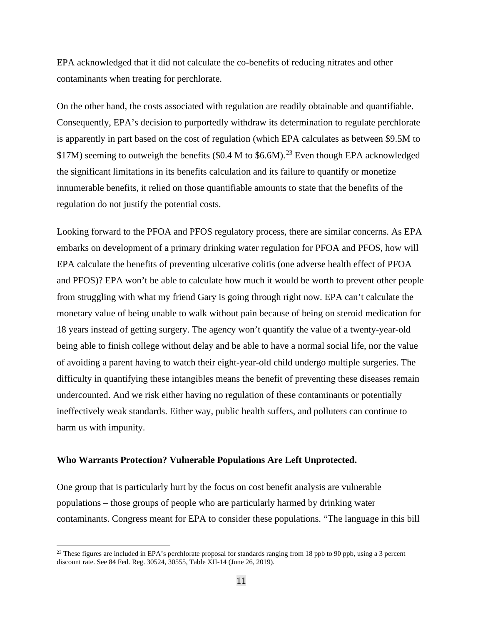EPA acknowledged that it did not calculate the co-benefits of reducing nitrates and other contaminants when treating for perchlorate.

On the other hand, the costs associated with regulation are readily obtainable and quantifiable. Consequently, EPA's decision to purportedly withdraw its determination to regulate perchlorate is apparently in part based on the cost of regulation (which EPA calculates as between \$9.5M to \$17M) seeming to outweigh the benefits (\$0.4 M to \$6.6M).<sup>[23](#page-10-0)</sup> Even though EPA acknowledged the significant limitations in its benefits calculation and its failure to quantify or monetize innumerable benefits, it relied on those quantifiable amounts to state that the benefits of the regulation do not justify the potential costs.

Looking forward to the PFOA and PFOS regulatory process, there are similar concerns. As EPA embarks on development of a primary drinking water regulation for PFOA and PFOS, how will EPA calculate the benefits of preventing ulcerative colitis (one adverse health effect of PFOA and PFOS)? EPA won't be able to calculate how much it would be worth to prevent other people from struggling with what my friend Gary is going through right now. EPA can't calculate the monetary value of being unable to walk without pain because of being on steroid medication for 18 years instead of getting surgery. The agency won't quantify the value of a twenty-year-old being able to finish college without delay and be able to have a normal social life, nor the value of avoiding a parent having to watch their eight-year-old child undergo multiple surgeries. The difficulty in quantifying these intangibles means the benefit of preventing these diseases remain undercounted. And we risk either having no regulation of these contaminants or potentially ineffectively weak standards. Either way, public health suffers, and polluters can continue to harm us with impunity.

#### **Who Warrants Protection? Vulnerable Populations Are Left Unprotected.**

One group that is particularly hurt by the focus on cost benefit analysis are vulnerable populations – those groups of people who are particularly harmed by drinking water contaminants. Congress meant for EPA to consider these populations. "The language in this bill

<span id="page-10-0"></span><sup>&</sup>lt;sup>23</sup> These figures are included in EPA's perchlorate proposal for standards ranging from 18 ppb to 90 ppb, using a 3 percent discount rate. See 84 Fed. Reg. 30524, 30555, Table XII-14 (June 26, 2019).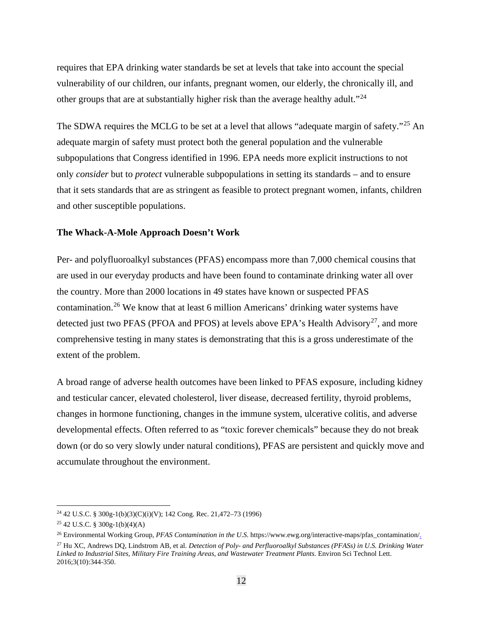requires that EPA drinking water standards be set at levels that take into account the special vulnerability of our children, our infants, pregnant women, our elderly, the chronically ill, and other groups that are at substantially higher risk than the average healthy adult."[24](#page-11-0)

The SDWA requires the MCLG to be set at a level that allows "adequate margin of safety."<sup>[25](#page-11-1)</sup> An adequate margin of safety must protect both the general population and the vulnerable subpopulations that Congress identified in 1996. EPA needs more explicit instructions to not only *consider* but to *protect* vulnerable subpopulations in setting its standards – and to ensure that it sets standards that are as stringent as feasible to protect pregnant women, infants, children and other susceptible populations.

#### **The Whack-A-Mole Approach Doesn't Work**

Per- and polyfluoroalkyl substances (PFAS) encompass more than 7,000 chemical cousins that are used in our everyday products and have been found to contaminate drinking water all over the country. More than 2000 locations in 49 states have known or suspected PFAS contamination.[26](#page-11-2) We know that at least 6 million Americans' drinking water systems have detected just two PFAS (PFOA and PFOS) at levels above EPA's Health Advisory<sup>27</sup>, and more comprehensive testing in many states is demonstrating that this is a gross underestimate of the extent of the problem.

A broad range of adverse health outcomes have been linked to PFAS exposure, including kidney and testicular cancer, elevated cholesterol, liver disease, decreased fertility, thyroid problems, changes in hormone functioning, changes in the immune system, ulcerative colitis, and adverse developmental effects. Often referred to as "toxic forever chemicals" because they do not break down (or do so very slowly under natural conditions), PFAS are persistent and quickly move and accumulate throughout the environment.

<span id="page-11-0"></span><sup>&</sup>lt;sup>24</sup> 42 U.S.C. § 300g-1(b)(3)(C)(i)(V); 142 Cong. Rec. 21,472–73 (1996)

<span id="page-11-1"></span> $25$  42 U.S.C. § 300g-1(b)(4)(A)

<span id="page-11-2"></span><sup>26</sup> Environmental Working Group, *PFAS Contamination in the U.S.* https://www.ewg.org/interactive-maps/pfas\_contamination/.

<span id="page-11-3"></span><sup>27</sup> Hu XC, Andrews DQ, Lindstrom AB, et al. *Detection of Poly- and Perfluoroalkyl Substances (PFASs) in U.S. Drinking Water Linked to Industrial Sites, Military Fire Training Areas, and Wastewater Treatment Plants.* Environ Sci Technol Lett. 2016;3(10):344-350.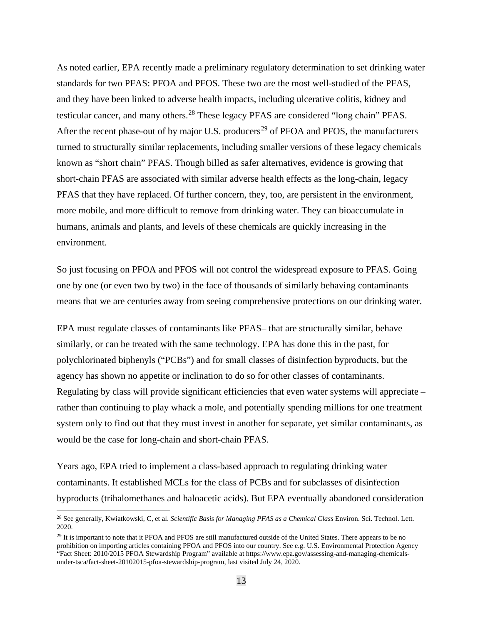As noted earlier, EPA recently made a preliminary regulatory determination to set drinking water standards for two PFAS: PFOA and PFOS. These two are the most well-studied of the PFAS, and they have been linked to adverse health impacts, including ulcerative colitis, kidney and testicular cancer, and many others.<sup>[28](#page-12-0)</sup> These legacy PFAS are considered "long chain" PFAS. After the recent phase-out of by major U.S. producers<sup>[29](#page-12-1)</sup> of PFOA and PFOS, the manufacturers turned to structurally similar replacements, including smaller versions of these legacy chemicals known as "short chain" PFAS. Though billed as safer alternatives, evidence is growing that short-chain PFAS are associated with similar adverse health effects as the long-chain, legacy PFAS that they have replaced. Of further concern, they, too, are persistent in the environment, more mobile, and more difficult to remove from drinking water. They can bioaccumulate in humans, animals and plants, and levels of these chemicals are quickly increasing in the environment.

So just focusing on PFOA and PFOS will not control the widespread exposure to PFAS. Going one by one (or even two by two) in the face of thousands of similarly behaving contaminants means that we are centuries away from seeing comprehensive protections on our drinking water.

EPA must regulate classes of contaminants like PFAS– that are structurally similar, behave similarly, or can be treated with the same technology. EPA has done this in the past, for polychlorinated biphenyls ("PCBs") and for small classes of disinfection byproducts, but the agency has shown no appetite or inclination to do so for other classes of contaminants. Regulating by class will provide significant efficiencies that even water systems will appreciate – rather than continuing to play whack a mole, and potentially spending millions for one treatment system only to find out that they must invest in another for separate, yet similar contaminants, as would be the case for long-chain and short-chain PFAS.

Years ago, EPA tried to implement a class-based approach to regulating drinking water contaminants. It established MCLs for the class of PCBs and for subclasses of disinfection byproducts (trihalomethanes and haloacetic acids). But EPA eventually abandoned consideration

<span id="page-12-0"></span><sup>28</sup> See generally, Kwiatkowski, C, et al. *Scientific Basis for Managing PFAS as a Chemical Class* Environ. Sci. Technol. Lett. 2020.

<span id="page-12-1"></span><sup>&</sup>lt;sup>29</sup> It is important to note that it PFOA and PFOS are still manufactured outside of the United States. There appears to be no prohibition on importing articles containing PFOA and PFOS into our country. See e.g. U.S. Environmental Protection Agency "Fact Sheet: 2010/2015 PFOA Stewardship Program" available at https://www.epa.gov/assessing-and-managing-chemicalsunder-tsca/fact-sheet-20102015-pfoa-stewardship-program, last visited July 24, 2020.